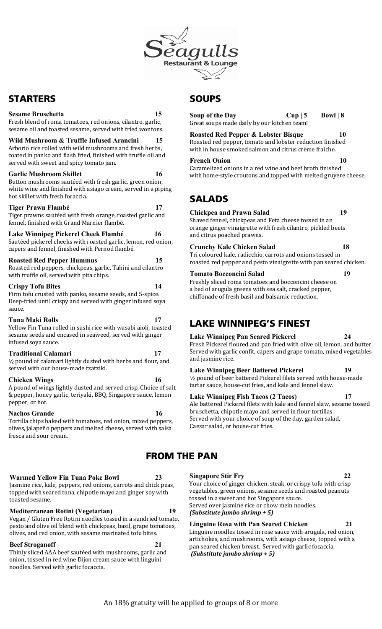

# STARTERS

### **Sesame Bruschetta 15**

Fresh blend of roma tomatoes, red onions, cilantro, garlic, sesame oil and toasted sesame, served with fried wontons.

**Wild Mushroom & Truffle Infused Arancini 15** Arborio rice rolled with wild mushrooms and fresh herbs, coated in panko and flash fried, finished with truffle oil and served with sweet and spicy tomato jam.

### **Garlic Mushroom Skillet 16 16**

Button mushrooms sautéed with fresh garlic, green onion, white wine and finished with asiago cream, served in a piping hot skillet with fresh focaccia.

### **Tiger Prawn Flambé 17**

Tiger prawns sautéed with fresh orange, roasted garlic and fennel, finished with Grand Marnier flambé.

**Lake Winnipeg Pickerel Cheek Flambé 16**  Sautéed pickerel cheeks with roasted garlic, lemon, red onion, capers and fennel, finished with Pernod flambé.

## **Roasted Red Pepper Hummus 15**

Roasted red peppers, chickpeas, garlic, Tahini and cilantro with truffle oil, served with pita chips.

### **Crispy Tofu Bites 14**

Firm tofu crusted with panko, sesame seeds, and 5-spice. Deep-fried until crispy and served with ginger infused soya sauce.

### **Tuna Maki Rolls 17**

Yellow Fin Tuna rolled in sushi rice with wasabi aioli, toasted sesame seeds and encased in seaweed, served with ginger infused soya sauce. 

### **Traditional Calamari 17**

 $\frac{1}{2}$  pound of calamari lightly dusted with herbs and flour, and served with our house-made tzatziki.

### **Chicken Wings 16**

A pound of wings lightly dusted and served crisp. Choice of salt & pepper, honey garlic, teriyaki, BBQ, Singapore sauce, lemon pepper, or hot.

### **Nachos Grande**

Tortilla chips baked with tomatoes, red onion, mixed peppers, olives, jalapeño peppers and melted cheese, served with salsa fresca and sour cream.

### **Warmed Yellow Fin Tuna Poke Bowl 23**

Jasmine rice, kale, peppers, red onions, carrots and chick peas, topped with seared tuna, chipotle mayo and ginger soy with toasted sesame.

### **Mediterranean Rotini (Vegetarian) 19**

Vegan / Gluten Free Rotini noodles tossed in a sundried tomato, pesto and olive oil blend with chickpeas, basil, grape tomatoes, olives, and red onion, with sesame marinated tofu bites.

### **Beef Stroganoff**

Thinly sliced AAA beef sautéed with mushrooms, garlic and onion, tossed in red wine Dijon cream sauce with linguini noodles. Served with garlic focaccia.

# **SOUPS**

**Soup of the Day** Cup | 5 Bowl | 8 Great soups made daily by our kitchen team!

**Roasted Red Pepper & Lobster Bisque 10** Roasted red pepper, tomato and lobster reduction finished with in house smoked salmon and citrus crème fraiche.

## **French Onion** 10

Caramelized onions in a red wine and beef broth finished with home-style croutons and topped with melted gruyere cheese.

# SALADS

## **Chickpea and Prawn Salad 19**

Shaved fennel, chickpeas and Feta cheese tossed in an orange ginger vinaigrette with fresh cilantro, pickled beets and citrus poached prawns.

## **Crunchy Kale Chicken Salad 18**

Tri coloured kale, radicchio, carrots and onions tossed in roasted red pepper and pesto vinaigrette with pan seared chicken.

### **Tomato Bocconcini Salad 19**

Freshly sliced roma tomatoes and bocconcini cheese on a bed of arugula greens with sea salt, cracked pepper, chiffonade of fresh basil and balsamic reduction.

# LAKE WINNIPEG'S FINEST

### **Lake Winnipeg Pan Seared Pickerel 24** Fresh Pickerel floured and pan fried with olive oil, lemon, and butter. Served with garlic confit, capers and grape tomato, mixed vegetables and jasmine rice.

## **Lake Winnipeg Beer Battered Pickerel 19**

1/2 pound of beer battered Pickerel filets served with house-made tartar sauce, house-cut fries, and kale and fennel slaw.

## **Lake Winnipeg Fish Tacos (2 Tacos) 17**

Ale battered Pickerel filets with kale and fennel slaw, sesame tossed bruschetta, chipotle mayo and served in flour tortillas. Served with your choice of soup of the day, garden salad, Caesar salad, or house-cut fries.

## FROM THE PAN

## **Singapore Stir Fry 22**

Your choice of ginger chicken, steak, or crispy tofu with crisp vegetables, green onions, sesame seeds and roasted peanuts tossed in a sweet and hot Singapore sauce. Served over jasmine rice or chow mein noodles. *(Substitute jumbo shrimp + 5)*

## **Linguine Rosa with Pan Seared Chicken 21**

Linguine noodles tossed in rose sauce with arugula, red onion, artichokes, and mushrooms, with asiago cheese, topped with a pan seared chicken breast. Served with garlic focaccia. *(Substitute jumbo shrimp + 5)*